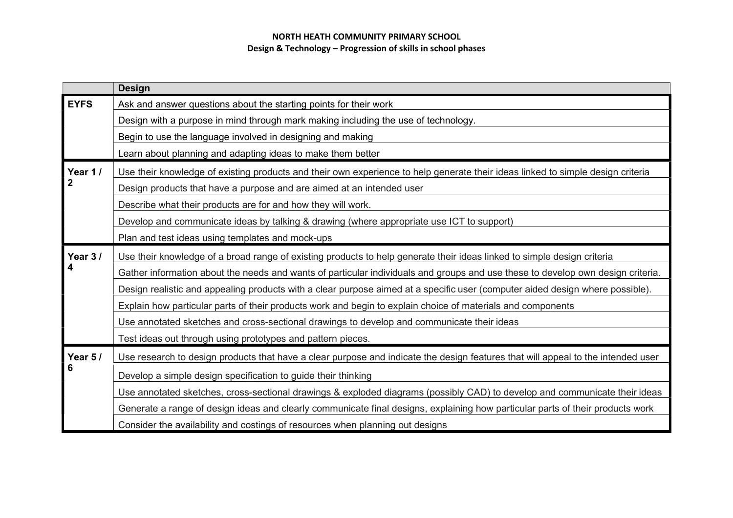|                | <b>Design</b>                                                                                                                    |
|----------------|----------------------------------------------------------------------------------------------------------------------------------|
| <b>EYFS</b>    | Ask and answer questions about the starting points for their work                                                                |
|                | Design with a purpose in mind through mark making including the use of technology.                                               |
|                | Begin to use the language involved in designing and making                                                                       |
|                | Learn about planning and adapting ideas to make them better                                                                      |
| Year 1/        | Use their knowledge of existing products and their own experience to help generate their ideas linked to simple design criteria  |
| $\overline{2}$ | Design products that have a purpose and are aimed at an intended user                                                            |
|                | Describe what their products are for and how they will work.                                                                     |
|                | Develop and communicate ideas by talking & drawing (where appropriate use ICT to support)                                        |
|                | Plan and test ideas using templates and mock-ups                                                                                 |
| Year 3/        | Use their knowledge of a broad range of existing products to help generate their ideas linked to simple design criteria          |
|                | Gather information about the needs and wants of particular individuals and groups and use these to develop own design criteria.  |
|                | Design realistic and appealing products with a clear purpose aimed at a specific user (computer aided design where possible).    |
|                | Explain how particular parts of their products work and begin to explain choice of materials and components                      |
|                | Use annotated sketches and cross-sectional drawings to develop and communicate their ideas                                       |
|                | Test ideas out through using prototypes and pattern pieces.                                                                      |
| Year 5/        | Use research to design products that have a clear purpose and indicate the design features that will appeal to the intended user |
| 6              | Develop a simple design specification to guide their thinking                                                                    |
|                | Use annotated sketches, cross-sectional drawings & exploded diagrams (possibly CAD) to develop and communicate their ideas       |
|                | Generate a range of design ideas and clearly communicate final designs, explaining how particular parts of their products work   |
|                | Consider the availability and costings of resources when planning out designs                                                    |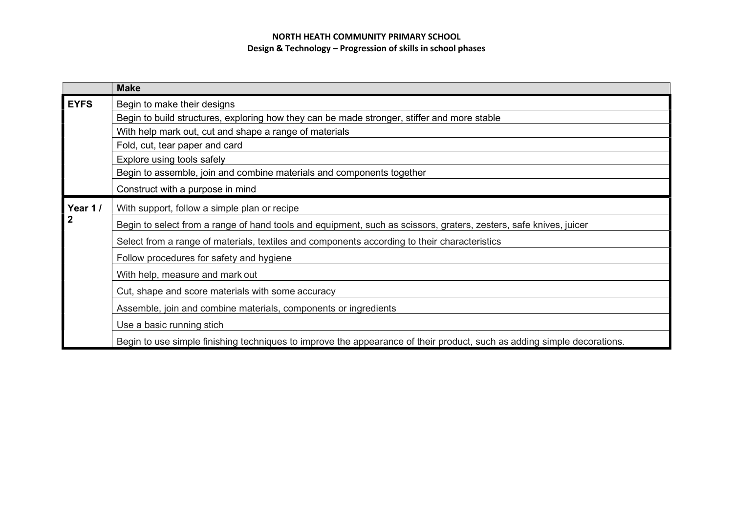|                         | <b>Make</b>                                                                                                             |
|-------------------------|-------------------------------------------------------------------------------------------------------------------------|
| <b>EYFS</b>             | Begin to make their designs                                                                                             |
|                         | Begin to build structures, exploring how they can be made stronger, stiffer and more stable                             |
|                         | With help mark out, cut and shape a range of materials                                                                  |
|                         | Fold, cut, tear paper and card                                                                                          |
|                         | Explore using tools safely                                                                                              |
|                         | Begin to assemble, join and combine materials and components together                                                   |
|                         | Construct with a purpose in mind                                                                                        |
| Year 1/<br>$\mathbf{2}$ | With support, follow a simple plan or recipe                                                                            |
|                         | Begin to select from a range of hand tools and equipment, such as scissors, graters, zesters, safe knives, juicer       |
|                         | Select from a range of materials, textiles and components according to their characteristics                            |
|                         | Follow procedures for safety and hygiene                                                                                |
|                         | With help, measure and mark out                                                                                         |
|                         | Cut, shape and score materials with some accuracy                                                                       |
|                         | Assemble, join and combine materials, components or ingredients                                                         |
|                         | Use a basic running stich                                                                                               |
|                         | Begin to use simple finishing techniques to improve the appearance of their product, such as adding simple decorations. |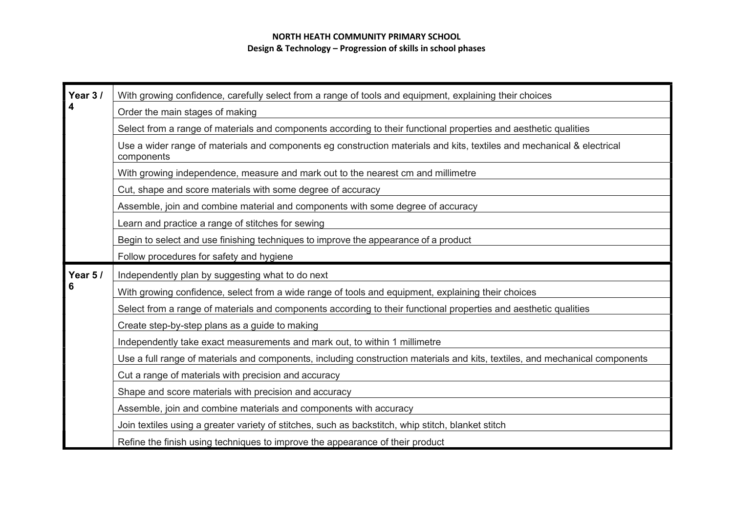| Year 3/ | With growing confidence, carefully select from a range of tools and equipment, explaining their choices                              |
|---------|--------------------------------------------------------------------------------------------------------------------------------------|
| 4       | Order the main stages of making                                                                                                      |
|         | Select from a range of materials and components according to their functional properties and aesthetic qualities                     |
|         | Use a wider range of materials and components eg construction materials and kits, textiles and mechanical & electrical<br>components |
|         | With growing independence, measure and mark out to the nearest cm and millimetre                                                     |
|         | Cut, shape and score materials with some degree of accuracy                                                                          |
|         | Assemble, join and combine material and components with some degree of accuracy                                                      |
|         | Learn and practice a range of stitches for sewing                                                                                    |
|         | Begin to select and use finishing techniques to improve the appearance of a product                                                  |
|         | Follow procedures for safety and hygiene                                                                                             |
| Year 5/ | Independently plan by suggesting what to do next                                                                                     |
|         | With growing confidence, select from a wide range of tools and equipment, explaining their choices                                   |
|         | Select from a range of materials and components according to their functional properties and aesthetic qualities                     |
|         | Create step-by-step plans as a guide to making                                                                                       |
|         | Independently take exact measurements and mark out, to within 1 millimetre                                                           |
|         | Use a full range of materials and components, including construction materials and kits, textiles, and mechanical components         |
|         | Cut a range of materials with precision and accuracy                                                                                 |
|         | Shape and score materials with precision and accuracy                                                                                |
|         | Assemble, join and combine materials and components with accuracy                                                                    |
|         | Join textiles using a greater variety of stitches, such as backstitch, whip stitch, blanket stitch                                   |
|         | Refine the finish using techniques to improve the appearance of their product                                                        |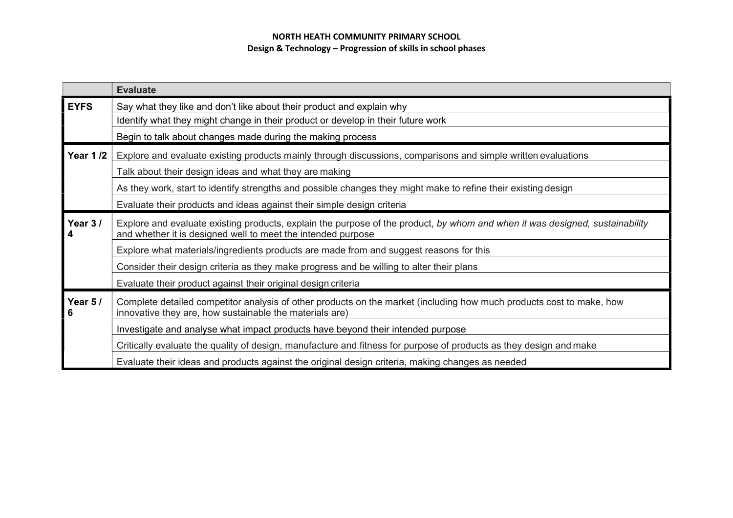|                 | <b>Evaluate</b>                                                                                                                                                                              |
|-----------------|----------------------------------------------------------------------------------------------------------------------------------------------------------------------------------------------|
| <b>EYFS</b>     | Say what they like and don't like about their product and explain why                                                                                                                        |
|                 | Identify what they might change in their product or develop in their future work                                                                                                             |
|                 | Begin to talk about changes made during the making process                                                                                                                                   |
| <b>Year 1/2</b> | Explore and evaluate existing products mainly through discussions, comparisons and simple written evaluations                                                                                |
|                 | Talk about their design ideas and what they are making                                                                                                                                       |
|                 | As they work, start to identify strengths and possible changes they might make to refine their existing design                                                                               |
|                 | Evaluate their products and ideas against their simple design criteria                                                                                                                       |
| Year 3/<br>4    | Explore and evaluate existing products, explain the purpose of the product, by whom and when it was designed, sustainability<br>and whether it is designed well to meet the intended purpose |
|                 | Explore what materials/ingredients products are made from and suggest reasons for this                                                                                                       |
|                 | Consider their design criteria as they make progress and be willing to alter their plans                                                                                                     |
|                 | Evaluate their product against their original design criteria                                                                                                                                |
| Year 5/<br>6    | Complete detailed competitor analysis of other products on the market (including how much products cost to make, how<br>innovative they are, how sustainable the materials are)              |
|                 | Investigate and analyse what impact products have beyond their intended purpose                                                                                                              |
|                 | Critically evaluate the quality of design, manufacture and fitness for purpose of products as they design and make                                                                           |
|                 | Evaluate their ideas and products against the original design criteria, making changes as needed                                                                                             |